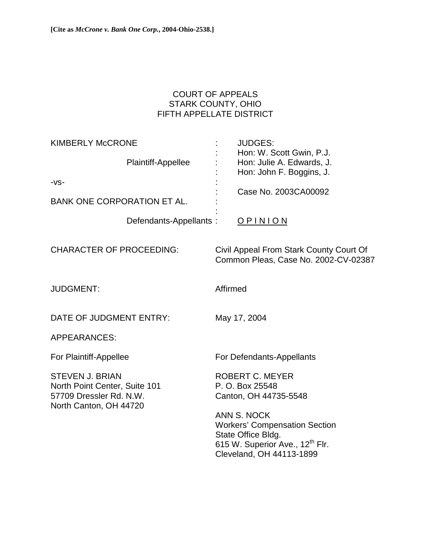## COURT OF APPEALS STARK COUNTY, OHIO FIFTH APPELLATE DISTRICT

| <b>KIMBERLY McCRONE</b><br>Plaintiff-Appellee<br>$-VS-$<br>BANK ONE CORPORATION ET AL.                       | <b>JUDGES:</b><br>Hon: W. Scott Gwin, P.J.<br>Hon: Julie A. Edwards, J.<br>Hon: John F. Boggins, J.<br>Case No. 2003CA00092                          |
|--------------------------------------------------------------------------------------------------------------|------------------------------------------------------------------------------------------------------------------------------------------------------|
| Defendants-Appellants:                                                                                       | OPINION                                                                                                                                              |
| <b>CHARACTER OF PROCEEDING:</b>                                                                              | Civil Appeal From Stark County Court Of<br>Common Pleas, Case No. 2002-CV-02387                                                                      |
| <b>JUDGMENT:</b>                                                                                             | Affirmed                                                                                                                                             |
| DATE OF JUDGMENT ENTRY:                                                                                      | May 17, 2004                                                                                                                                         |
| <b>APPEARANCES:</b>                                                                                          |                                                                                                                                                      |
| For Plaintiff-Appellee                                                                                       | For Defendants-Appellants                                                                                                                            |
| <b>STEVEN J. BRIAN</b><br>North Point Center, Suite 101<br>57709 Dressler Rd. N.W.<br>North Canton, OH 44720 | <b>ROBERT C. MEYER</b><br>P. O. Box 25548<br>Canton, OH 44735-5548                                                                                   |
|                                                                                                              | ANN S. NOCK<br><b>Workers' Compensation Section</b><br>State Office Bldg.<br>615 W. Superior Ave., 12 <sup>th</sup> Flr.<br>Cleveland, OH 44113-1899 |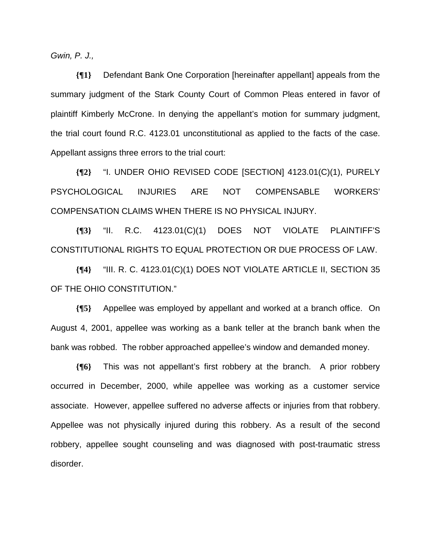*Gwin, P. J.,* 

**{¶1}** Defendant Bank One Corporation [hereinafter appellant] appeals from the summary judgment of the Stark County Court of Common Pleas entered in favor of plaintiff Kimberly McCrone. In denying the appellant's motion for summary judgment, the trial court found R.C. 4123.01 unconstitutional as applied to the facts of the case. Appellant assigns three errors to the trial court:

**{¶2}** "I. UNDER OHIO REVISED CODE [SECTION] 4123.01(C)(1), PURELY PSYCHOLOGICAL INJURIES ARE NOT COMPENSABLE WORKERS' COMPENSATION CLAIMS WHEN THERE IS NO PHYSICAL INJURY.

**{¶3}** "II. R.C. 4123.01(C)(1) DOES NOT VIOLATE PLAINTIFF'S CONSTITUTIONAL RIGHTS TO EQUAL PROTECTION OR DUE PROCESS OF LAW.

**{¶4}** "III. R. C. 4123.01(C)(1) DOES NOT VIOLATE ARTICLE II, SECTION 35 OF THE OHIO CONSTITUTION."

**{¶5}** Appellee was employed by appellant and worked at a branch office. On August 4, 2001, appellee was working as a bank teller at the branch bank when the bank was robbed. The robber approached appellee's window and demanded money.

**{¶6}** This was not appellant's first robbery at the branch. A prior robbery occurred in December, 2000, while appellee was working as a customer service associate. However, appellee suffered no adverse affects or injuries from that robbery. Appellee was not physically injured during this robbery. As a result of the second robbery, appellee sought counseling and was diagnosed with post-traumatic stress disorder.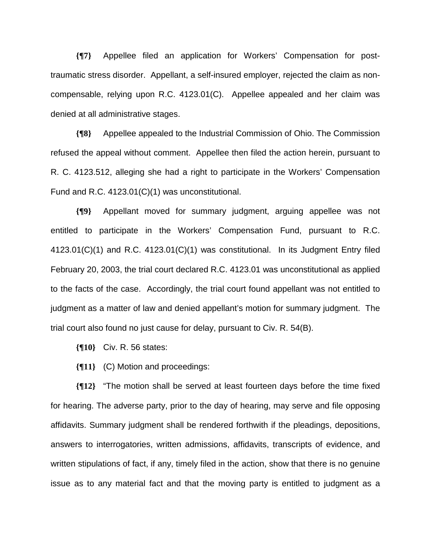**{¶7}** Appellee filed an application for Workers' Compensation for posttraumatic stress disorder. Appellant, a self-insured employer, rejected the claim as noncompensable, relying upon R.C. 4123.01(C). Appellee appealed and her claim was denied at all administrative stages.

**{¶8}** Appellee appealed to the Industrial Commission of Ohio. The Commission refused the appeal without comment. Appellee then filed the action herein, pursuant to R. C. 4123.512, alleging she had a right to participate in the Workers' Compensation Fund and R.C. 4123.01(C)(1) was unconstitutional.

**{¶9}** Appellant moved for summary judgment, arguing appellee was not entitled to participate in the Workers' Compensation Fund, pursuant to R.C. 4123.01(C)(1) and R.C. 4123.01(C)(1) was constitutional. In its Judgment Entry filed February 20, 2003, the trial court declared R.C. 4123.01 was unconstitutional as applied to the facts of the case. Accordingly, the trial court found appellant was not entitled to judgment as a matter of law and denied appellant's motion for summary judgment. The trial court also found no just cause for delay, pursuant to Civ. R. 54(B).

**{¶10}** Civ. R. 56 states:

**{¶11}** (C) Motion and proceedings:

**{¶12}** "The motion shall be served at least fourteen days before the time fixed for hearing. The adverse party, prior to the day of hearing, may serve and file opposing affidavits. Summary judgment shall be rendered forthwith if the pleadings, depositions, answers to interrogatories, written admissions, affidavits, transcripts of evidence, and written stipulations of fact, if any, timely filed in the action, show that there is no genuine issue as to any material fact and that the moving party is entitled to judgment as a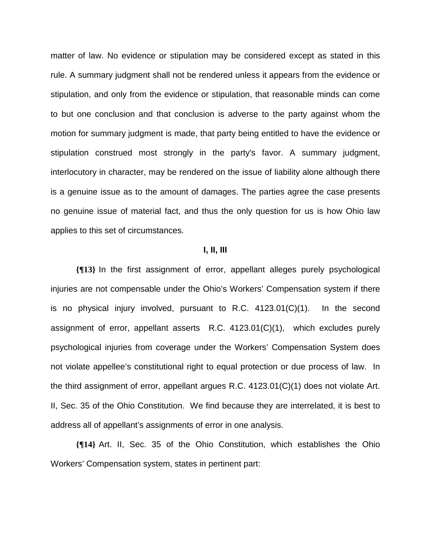matter of law. No evidence or stipulation may be considered except as stated in this rule. A summary judgment shall not be rendered unless it appears from the evidence or stipulation, and only from the evidence or stipulation, that reasonable minds can come to but one conclusion and that conclusion is adverse to the party against whom the motion for summary judgment is made, that party being entitled to have the evidence or stipulation construed most strongly in the party's favor. A summary judgment, interlocutory in character, may be rendered on the issue of liability alone although there is a genuine issue as to the amount of damages. The parties agree the case presents no genuine issue of material fact, and thus the only question for us is how Ohio law applies to this set of circumstances.

## **I, II, III**

**{¶13}** In the first assignment of error, appellant alleges purely psychological injuries are not compensable under the Ohio's Workers' Compensation system if there is no physical injury involved, pursuant to R.C. 4123.01(C)(1). In the second assignment of error, appellant asserts R.C. 4123.01(C)(1), which excludes purely psychological injuries from coverage under the Workers' Compensation System does not violate appellee's constitutional right to equal protection or due process of law. In the third assignment of error, appellant argues R.C. 4123.01(C)(1) does not violate Art. II, Sec. 35 of the Ohio Constitution. We find because they are interrelated, it is best to address all of appellant's assignments of error in one analysis.

**{¶14}** Art. II, Sec. 35 of the Ohio Constitution, which establishes the Ohio Workers' Compensation system, states in pertinent part: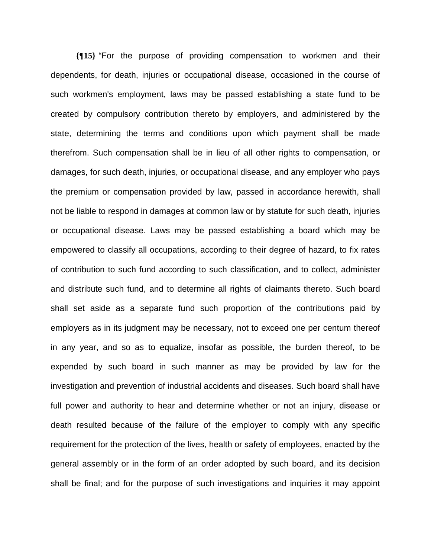**{¶15}** "For the purpose of providing compensation to workmen and their dependents, for death, injuries or occupational disease, occasioned in the course of such workmen's employment, laws may be passed establishing a state fund to be created by compulsory contribution thereto by employers, and administered by the state, determining the terms and conditions upon which payment shall be made therefrom. Such compensation shall be in lieu of all other rights to compensation, or damages, for such death, injuries, or occupational disease, and any employer who pays the premium or compensation provided by law, passed in accordance herewith, shall not be liable to respond in damages at common law or by statute for such death, injuries or occupational disease. Laws may be passed establishing a board which may be empowered to classify all occupations, according to their degree of hazard, to fix rates of contribution to such fund according to such classification, and to collect, administer and distribute such fund, and to determine all rights of claimants thereto. Such board shall set aside as a separate fund such proportion of the contributions paid by employers as in its judgment may be necessary, not to exceed one per centum thereof in any year, and so as to equalize, insofar as possible, the burden thereof, to be expended by such board in such manner as may be provided by law for the investigation and prevention of industrial accidents and diseases. Such board shall have full power and authority to hear and determine whether or not an injury, disease or death resulted because of the failure of the employer to comply with any specific requirement for the protection of the lives, health or safety of employees, enacted by the general assembly or in the form of an order adopted by such board, and its decision shall be final; and for the purpose of such investigations and inquiries it may appoint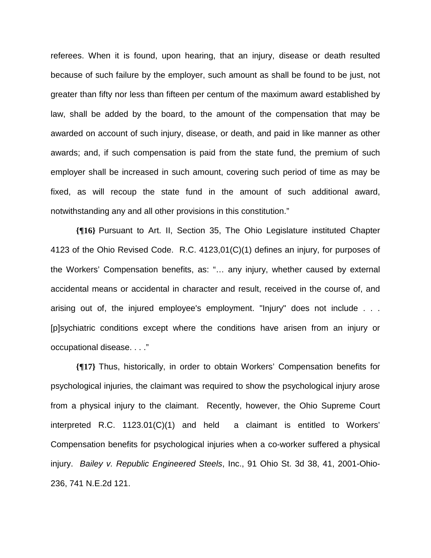referees. When it is found, upon hearing, that an injury, disease or death resulted because of such failure by the employer, such amount as shall be found to be just, not greater than fifty nor less than fifteen per centum of the maximum award established by law, shall be added by the board, to the amount of the compensation that may be awarded on account of such injury, disease, or death, and paid in like manner as other awards; and, if such compensation is paid from the state fund, the premium of such employer shall be increased in such amount, covering such period of time as may be fixed, as will recoup the state fund in the amount of such additional award, notwithstanding any and all other provisions in this constitution."

**{¶16}** Pursuant to Art. II, Section 35, The Ohio Legislature instituted Chapter 4123 of the Ohio Revised Code. R.C. 4123,01(C)(1) defines an injury, for purposes of the Workers' Compensation benefits, as: "… any injury, whether caused by external accidental means or accidental in character and result, received in the course of, and arising out of, the injured employee's employment. "Injury" does not include . . . [p]sychiatric conditions except where the conditions have arisen from an injury or occupational disease. . . ."

**{¶17}** Thus, historically, in order to obtain Workers' Compensation benefits for psychological injuries, the claimant was required to show the psychological injury arose from a physical injury to the claimant. Recently, however, the Ohio Supreme Court interpreted R.C. 1123.01(C)(1) and held a claimant is entitled to Workers' Compensation benefits for psychological injuries when a co-worker suffered a physical injury. *Bailey v. Republic Engineered Steels*, Inc., 91 Ohio St. 3d 38, 41, 2001-Ohio-236, 741 N.E.2d 121.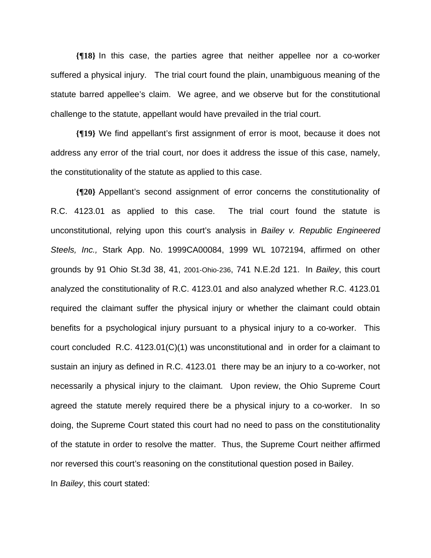**{¶18}** In this case, the parties agree that neither appellee nor a co-worker suffered a physical injury. The trial court found the plain, unambiguous meaning of the statute barred appellee's claim. We agree, and we observe but for the constitutional challenge to the statute, appellant would have prevailed in the trial court.

**{¶19}** We find appellant's first assignment of error is moot, because it does not address any error of the trial court, nor does it address the issue of this case, namely, the constitutionality of the statute as applied to this case.

**{¶20}** Appellant's second assignment of error concerns the constitutionality of R.C. 4123.01 as applied to this case. The trial court found the statute is unconstitutional, relying upon this court's analysis in *Bailey v. Republic Engineered Steels, Inc.,* Stark App. No. 1999CA00084, 1999 WL 1072194, affirmed on other grounds by 91 Ohio St.3d 38, 41, 2001-Ohio-236, 741 N.E.2d 121. In *Bailey*, this court analyzed the constitutionality of R.C. 4123.01 and also analyzed whether R.C. 4123.01 required the claimant suffer the physical injury or whether the claimant could obtain benefits for a psychological injury pursuant to a physical injury to a co-worker. This court concluded R.C. 4123.01(C)(1) was unconstitutional and in order for a claimant to sustain an injury as defined in R.C. 4123.01 there may be an injury to a co-worker, not necessarily a physical injury to the claimant. Upon review, the Ohio Supreme Court agreed the statute merely required there be a physical injury to a co-worker. In so doing, the Supreme Court stated this court had no need to pass on the constitutionality of the statute in order to resolve the matter. Thus, the Supreme Court neither affirmed nor reversed this court's reasoning on the constitutional question posed in Bailey. In *Bailey*, this court stated: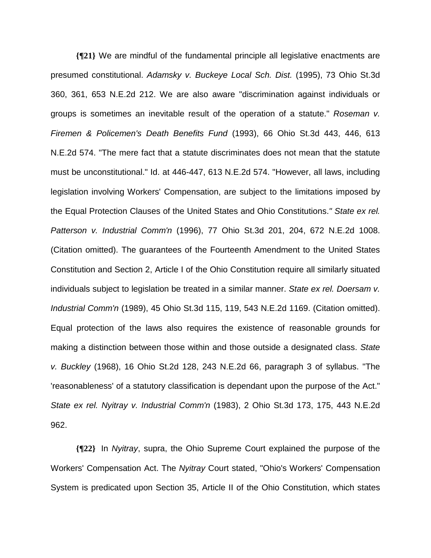**{¶21}** We are mindful of the fundamental principle all legislative enactments are presumed constitutional. *Adamsky v. Buckeye Local Sch. Dist.* (1995), 73 Ohio St.3d 360, 361, 653 N.E.2d 212. We are also aware "discrimination against individuals or groups is sometimes an inevitable result of the operation of a statute." *Roseman v. Firemen & Policemen's Death Benefits Fund* (1993), 66 Ohio St.3d 443, 446, 613 N.E.2d 574. "The mere fact that a statute discriminates does not mean that the statute must be unconstitutional." Id. at 446-447, 613 N.E.2d 574. "However, all laws, including legislation involving Workers' Compensation, are subject to the limitations imposed by the Equal Protection Clauses of the United States and Ohio Constitutions.*" State ex rel. Patterson v. Industrial Comm'n* (1996), 77 Ohio St.3d 201, 204, 672 N.E.2d 1008. (Citation omitted). The guarantees of the Fourteenth Amendment to the United States Constitution and Section 2, Article I of the Ohio Constitution require all similarly situated individuals subject to legislation be treated in a similar manner. *State ex rel. Doersam v. Industrial Comm'n* (1989), 45 Ohio St.3d 115, 119, 543 N.E.2d 1169. (Citation omitted). Equal protection of the laws also requires the existence of reasonable grounds for making a distinction between those within and those outside a designated class. *State v. Buckley* (1968), 16 Ohio St.2d 128, 243 N.E.2d 66, paragraph 3 of syllabus. "The 'reasonableness' of a statutory classification is dependant upon the purpose of the Act." *State ex rel. Nyitray v. Industrial Comm'n* (1983), 2 Ohio St.3d 173, 175, 443 N.E.2d 962.

**{¶22}** In *Nyitray*, supra, the Ohio Supreme Court explained the purpose of the Workers' Compensation Act. The *Nyitray* Court stated, "Ohio's Workers' Compensation System is predicated upon Section 35, Article II of the Ohio Constitution, which states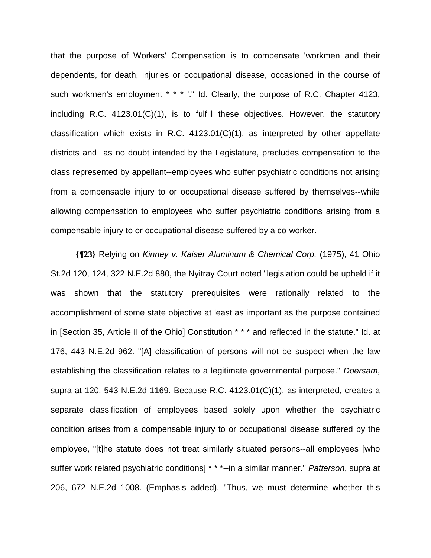that the purpose of Workers' Compensation is to compensate 'workmen and their dependents, for death, injuries or occupational disease, occasioned in the course of such workmen's employment \* \* \* '." Id. Clearly, the purpose of R.C. Chapter 4123, including R.C. 4123.01(C)(1), is to fulfill these objectives. However, the statutory classification which exists in R.C. 4123.01(C)(1), as interpreted by other appellate districts and as no doubt intended by the Legislature, precludes compensation to the class represented by appellant--employees who suffer psychiatric conditions not arising from a compensable injury to or occupational disease suffered by themselves--while allowing compensation to employees who suffer psychiatric conditions arising from a compensable injury to or occupational disease suffered by a co-worker.

**{¶23}** Relying on *Kinney v. Kaiser Aluminum & Chemical Corp.* (1975), 41 Ohio St.2d 120, 124, 322 N.E.2d 880, the Nyitray Court noted "legislation could be upheld if it was shown that the statutory prerequisites were rationally related to the accomplishment of some state objective at least as important as the purpose contained in [Section 35, Article II of the Ohio] Constitution \* \* \* and reflected in the statute." Id. at 176, 443 N.E.2d 962. "[A] classification of persons will not be suspect when the law establishing the classification relates to a legitimate governmental purpose." *Doersam*, supra at 120, 543 N.E.2d 1169. Because R.C. 4123.01(C)(1), as interpreted, creates a separate classification of employees based solely upon whether the psychiatric condition arises from a compensable injury to or occupational disease suffered by the employee, "[t]he statute does not treat similarly situated persons--all employees [who suffer work related psychiatric conditions] \* \* \*--in a similar manner." *Patterson*, supra at 206, 672 N.E.2d 1008. (Emphasis added). "Thus, we must determine whether this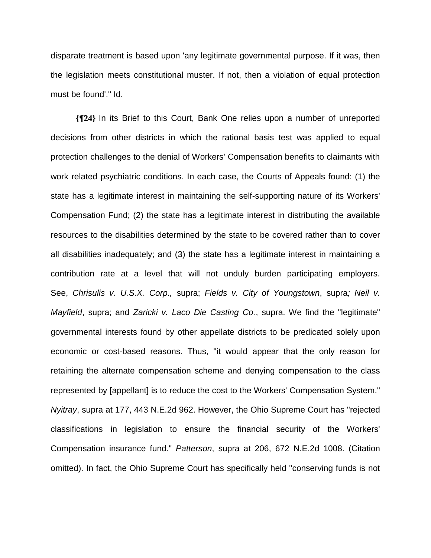disparate treatment is based upon 'any legitimate governmental purpose. If it was, then the legislation meets constitutional muster. If not, then a violation of equal protection must be found'." Id.

**{¶24}** In its Brief to this Court, Bank One relies upon a number of unreported decisions from other districts in which the rational basis test was applied to equal protection challenges to the denial of Workers' Compensation benefits to claimants with work related psychiatric conditions. In each case, the Courts of Appeals found: (1) the state has a legitimate interest in maintaining the self-supporting nature of its Workers' Compensation Fund; (2) the state has a legitimate interest in distributing the available resources to the disabilities determined by the state to be covered rather than to cover all disabilities inadequately; and (3) the state has a legitimate interest in maintaining a contribution rate at a level that will not unduly burden participating employers. See, *Chrisulis v. U.S.X. Corp.,* supra; *Fields v. City of Youngstown*, supra*; Neil v. Mayfield*, supra; and *Zaricki v. Laco Die Casting Co.*, supra. We find the "legitimate" governmental interests found by other appellate districts to be predicated solely upon economic or cost-based reasons. Thus, "it would appear that the only reason for retaining the alternate compensation scheme and denying compensation to the class represented by [appellant] is to reduce the cost to the Workers' Compensation System." *Nyitray*, supra at 177, 443 N.E.2d 962. However, the Ohio Supreme Court has "rejected classifications in legislation to ensure the financial security of the Workers' Compensation insurance fund." *Patterson*, supra at 206, 672 N.E.2d 1008. (Citation omitted). In fact, the Ohio Supreme Court has specifically held "conserving funds is not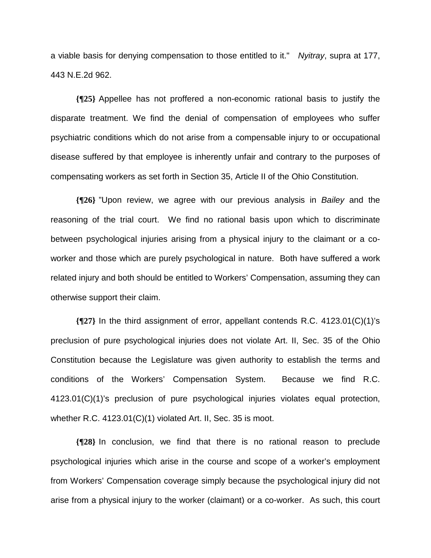a viable basis for denying compensation to those entitled to it." *Nyitray*, supra at 177, 443 N.E.2d 962.

**{¶25}** Appellee has not proffered a non-economic rational basis to justify the disparate treatment. We find the denial of compensation of employees who suffer psychiatric conditions which do not arise from a compensable injury to or occupational disease suffered by that employee is inherently unfair and contrary to the purposes of compensating workers as set forth in Section 35, Article II of the Ohio Constitution.

**{¶26}** "Upon review, we agree with our previous analysis in *Bailey* and the reasoning of the trial court. We find no rational basis upon which to discriminate between psychological injuries arising from a physical injury to the claimant or a coworker and those which are purely psychological in nature. Both have suffered a work related injury and both should be entitled to Workers' Compensation, assuming they can otherwise support their claim.

**{¶27}** In the third assignment of error, appellant contends R.C. 4123.01(C)(1)'s preclusion of pure psychological injuries does not violate Art. II, Sec. 35 of the Ohio Constitution because the Legislature was given authority to establish the terms and conditions of the Workers' Compensation System. Because we find R.C. 4123.01(C)(1)'s preclusion of pure psychological injuries violates equal protection, whether R.C. 4123.01(C)(1) violated Art. II, Sec. 35 is moot.

**{¶28}** In conclusion, we find that there is no rational reason to preclude psychological injuries which arise in the course and scope of a worker's employment from Workers' Compensation coverage simply because the psychological injury did not arise from a physical injury to the worker (claimant) or a co-worker. As such, this court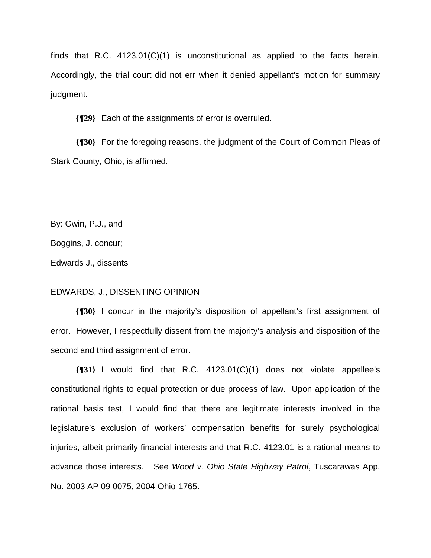finds that R.C. 4123.01(C)(1) is unconstitutional as applied to the facts herein. Accordingly, the trial court did not err when it denied appellant's motion for summary judgment.

**{¶29}** Each of the assignments of error is overruled.

**{¶30}** For the foregoing reasons, the judgment of the Court of Common Pleas of Stark County, Ohio, is affirmed.

By: Gwin, P.J., and

Boggins, J. concur;

Edwards J., dissents

## EDWARDS, J., DISSENTING OPINION

**{¶30}** I concur in the majority's disposition of appellant's first assignment of error. However, I respectfully dissent from the majority's analysis and disposition of the second and third assignment of error.

**{¶31}** I would find that R.C. 4123.01(C)(1) does not violate appellee's constitutional rights to equal protection or due process of law. Upon application of the rational basis test, I would find that there are legitimate interests involved in the legislature's exclusion of workers' compensation benefits for surely psychological injuries, albeit primarily financial interests and that R.C. 4123.01 is a rational means to advance those interests. See *Wood v. Ohio State Highway Patrol*, Tuscarawas App. No. 2003 AP 09 0075, 2004-Ohio-1765.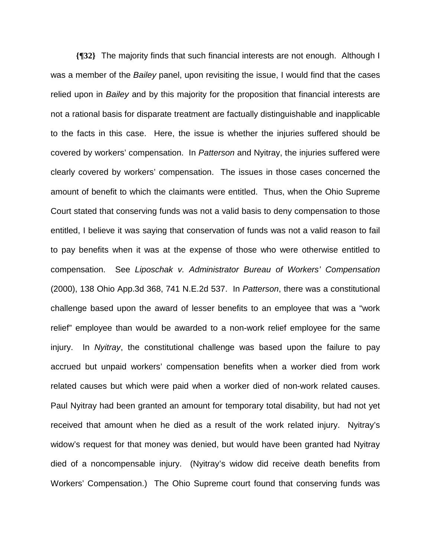**{¶32}** The majority finds that such financial interests are not enough. Although I was a member of the *Bailey* panel, upon revisiting the issue, I would find that the cases relied upon in *Bailey* and by this majority for the proposition that financial interests are not a rational basis for disparate treatment are factually distinguishable and inapplicable to the facts in this case. Here, the issue is whether the injuries suffered should be covered by workers' compensation. In *Patterson* and Nyitray, the injuries suffered were clearly covered by workers' compensation. The issues in those cases concerned the amount of benefit to which the claimants were entitled. Thus, when the Ohio Supreme Court stated that conserving funds was not a valid basis to deny compensation to those entitled, I believe it was saying that conservation of funds was not a valid reason to fail to pay benefits when it was at the expense of those who were otherwise entitled to compensation. See *Liposchak v. Administrator Bureau of Workers' Compensation*  (2000), 138 Ohio App.3d 368, 741 N.E.2d 537. In *Patterson*, there was a constitutional challenge based upon the award of lesser benefits to an employee that was a "work relief" employee than would be awarded to a non-work relief employee for the same injury. In *Nyitray*, the constitutional challenge was based upon the failure to pay accrued but unpaid workers' compensation benefits when a worker died from work related causes but which were paid when a worker died of non-work related causes. Paul Nyitray had been granted an amount for temporary total disability, but had not yet received that amount when he died as a result of the work related injury. Nyitray's widow's request for that money was denied, but would have been granted had Nyitray died of a noncompensable injury. (Nyitray's widow did receive death benefits from Workers' Compensation.) The Ohio Supreme court found that conserving funds was